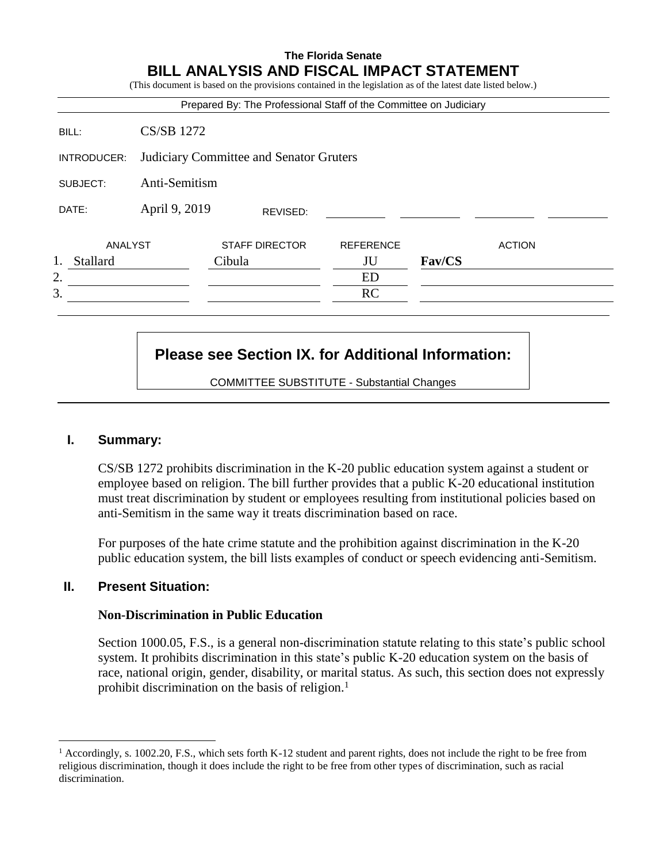# **The Florida Senate BILL ANALYSIS AND FISCAL IMPACT STATEMENT**

(This document is based on the provisions contained in the legislation as of the latest date listed below.)

|                |                                         | Prepared By: The Professional Staff of the Committee on Judiciary |                  |        |               |  |
|----------------|-----------------------------------------|-------------------------------------------------------------------|------------------|--------|---------------|--|
| BILL:          | <b>CS/SB 1272</b>                       |                                                                   |                  |        |               |  |
| INTRODUCER:    | Judiciary Committee and Senator Gruters |                                                                   |                  |        |               |  |
| SUBJECT:       | Anti-Semitism                           |                                                                   |                  |        |               |  |
| DATE:          | April 9, 2019<br>REVISED:               |                                                                   |                  |        |               |  |
| ANALYST        |                                         | <b>STAFF DIRECTOR</b>                                             | <b>REFERENCE</b> |        | <b>ACTION</b> |  |
| 1.<br>Stallard |                                         | Cibula                                                            | JU               | Fav/CS |               |  |
| 2.             |                                         |                                                                   | ED               |        |               |  |
| 3.             |                                         |                                                                   | RC               |        |               |  |
|                |                                         |                                                                   |                  |        |               |  |

# **Please see Section IX. for Additional Information:**

COMMITTEE SUBSTITUTE - Substantial Changes

#### **I. Summary:**

CS/SB 1272 prohibits discrimination in the K-20 public education system against a student or employee based on religion. The bill further provides that a public K-20 educational institution must treat discrimination by student or employees resulting from institutional policies based on anti-Semitism in the same way it treats discrimination based on race.

For purposes of the hate crime statute and the prohibition against discrimination in the K-20 public education system, the bill lists examples of conduct or speech evidencing anti-Semitism.

#### **II. Present Situation:**

 $\overline{a}$ 

#### **Non-Discrimination in Public Education**

Section 1000.05, F.S., is a general non-discrimination statute relating to this state's public school system. It prohibits discrimination in this state's public K-20 education system on the basis of race, national origin, gender, disability, or marital status. As such, this section does not expressly prohibit discrimination on the basis of religion.<sup>1</sup>

 $1$  Accordingly, s. 1002.20, F.S., which sets forth K-12 student and parent rights, does not include the right to be free from religious discrimination, though it does include the right to be free from other types of discrimination, such as racial discrimination.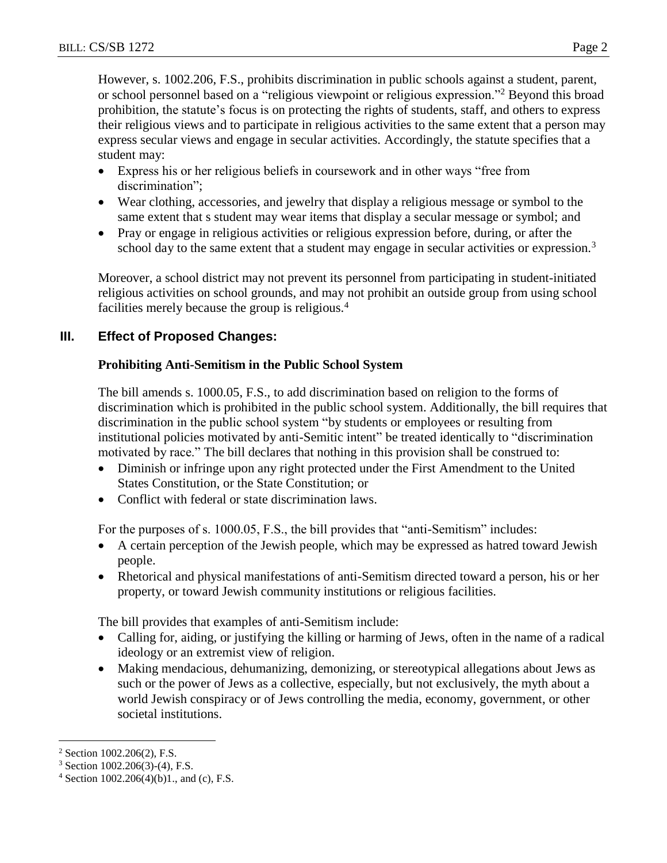However, s. 1002.206, F.S., prohibits discrimination in public schools against a student, parent, or school personnel based on a "religious viewpoint or religious expression."<sup>2</sup> Beyond this broad prohibition, the statute's focus is on protecting the rights of students, staff, and others to express their religious views and to participate in religious activities to the same extent that a person may express secular views and engage in secular activities. Accordingly, the statute specifies that a student may:

- Express his or her religious beliefs in coursework and in other ways "free from discrimination";
- Wear clothing, accessories, and jewelry that display a religious message or symbol to the same extent that s student may wear items that display a secular message or symbol; and
- Pray or engage in religious activities or religious expression before, during, or after the school day to the same extent that a student may engage in secular activities or expression.<sup>3</sup>

Moreover, a school district may not prevent its personnel from participating in student-initiated religious activities on school grounds, and may not prohibit an outside group from using school facilities merely because the group is religious.<sup>4</sup>

# **III. Effect of Proposed Changes:**

# **Prohibiting Anti-Semitism in the Public School System**

The bill amends s. 1000.05, F.S., to add discrimination based on religion to the forms of discrimination which is prohibited in the public school system. Additionally, the bill requires that discrimination in the public school system "by students or employees or resulting from institutional policies motivated by anti-Semitic intent" be treated identically to "discrimination motivated by race." The bill declares that nothing in this provision shall be construed to:

- Diminish or infringe upon any right protected under the First Amendment to the United States Constitution, or the State Constitution; or
- Conflict with federal or state discrimination laws.

For the purposes of s. 1000.05, F.S., the bill provides that "anti-Semitism" includes:

- A certain perception of the Jewish people, which may be expressed as hatred toward Jewish people.
- Rhetorical and physical manifestations of anti-Semitism directed toward a person, his or her property, or toward Jewish community institutions or religious facilities.

The bill provides that examples of anti-Semitism include:

- Calling for, aiding, or justifying the killing or harming of Jews, often in the name of a radical ideology or an extremist view of religion.
- Making mendacious, dehumanizing, demonizing, or stereotypical allegations about Jews as such or the power of Jews as a collective, especially, but not exclusively, the myth about a world Jewish conspiracy or of Jews controlling the media, economy, government, or other societal institutions.

 $\overline{a}$ 

<sup>2</sup> Section 1002.206(2), F.S.

<sup>3</sup> Section 1002.206(3)-(4), F.S.

 $4$  Section 1002.206(4)(b)1., and (c), F.S.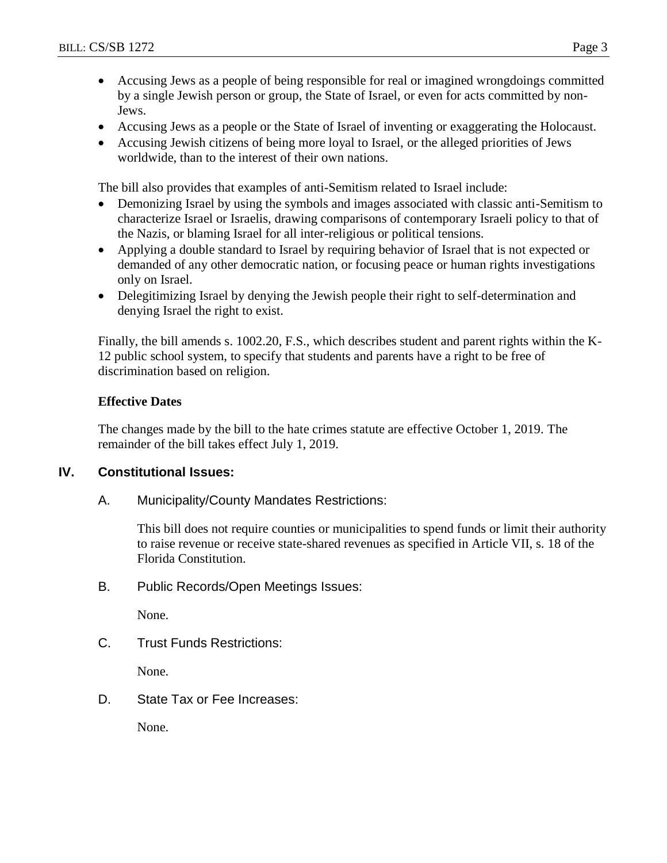- Accusing Jews as a people of being responsible for real or imagined wrongdoings committed by a single Jewish person or group, the State of Israel, or even for acts committed by non-Jews.
- Accusing Jews as a people or the State of Israel of inventing or exaggerating the Holocaust.
- Accusing Jewish citizens of being more loyal to Israel, or the alleged priorities of Jews worldwide, than to the interest of their own nations.

The bill also provides that examples of anti-Semitism related to Israel include:

- Demonizing Israel by using the symbols and images associated with classic anti-Semitism to characterize Israel or Israelis, drawing comparisons of contemporary Israeli policy to that of the Nazis, or blaming Israel for all inter-religious or political tensions.
- Applying a double standard to Israel by requiring behavior of Israel that is not expected or demanded of any other democratic nation, or focusing peace or human rights investigations only on Israel.
- Delegitimizing Israel by denying the Jewish people their right to self-determination and denying Israel the right to exist.

Finally, the bill amends s. 1002.20, F.S., which describes student and parent rights within the K-12 public school system, to specify that students and parents have a right to be free of discrimination based on religion.

## **Effective Dates**

The changes made by the bill to the hate crimes statute are effective October 1, 2019. The remainder of the bill takes effect July 1, 2019.

## **IV. Constitutional Issues:**

A. Municipality/County Mandates Restrictions:

This bill does not require counties or municipalities to spend funds or limit their authority to raise revenue or receive state-shared revenues as specified in Article VII, s. 18 of the Florida Constitution.

B. Public Records/Open Meetings Issues:

None.

C. Trust Funds Restrictions:

None.

D. State Tax or Fee Increases:

None.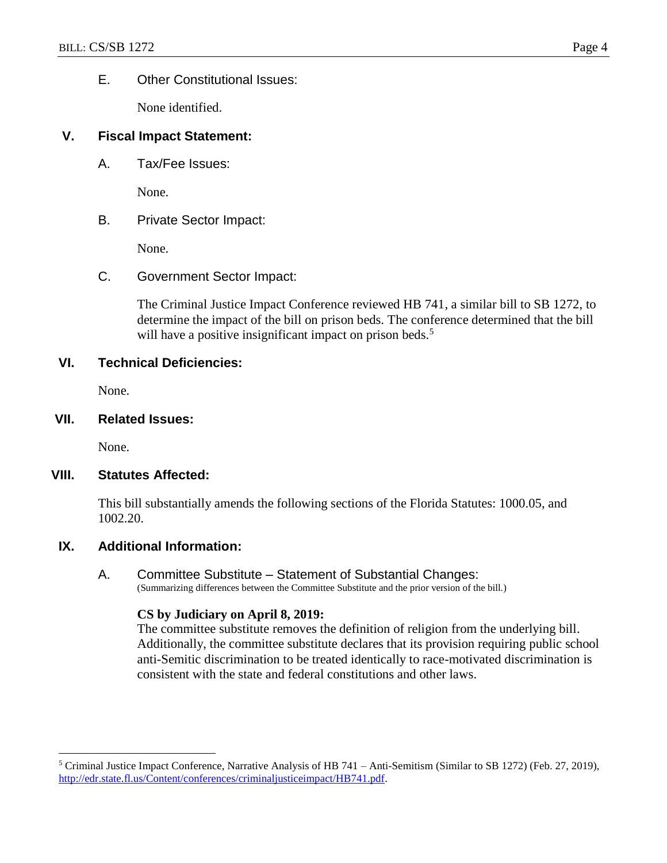#### E. Other Constitutional Issues:

None identified.

#### **V. Fiscal Impact Statement:**

A. Tax/Fee Issues:

None.

B. Private Sector Impact:

None.

C. Government Sector Impact:

The Criminal Justice Impact Conference reviewed HB 741, a similar bill to SB 1272, to determine the impact of the bill on prison beds. The conference determined that the bill will have a positive insignificant impact on prison beds.<sup>5</sup>

#### **VI. Technical Deficiencies:**

None.

**VII. Related Issues:**

None.

 $\overline{a}$ 

#### **VIII. Statutes Affected:**

This bill substantially amends the following sections of the Florida Statutes: 1000.05, and 1002.20.

## **IX. Additional Information:**

## A. Committee Substitute – Statement of Substantial Changes:

(Summarizing differences between the Committee Substitute and the prior version of the bill.)

#### **CS by Judiciary on April 8, 2019:**

The committee substitute removes the definition of religion from the underlying bill. Additionally, the committee substitute declares that its provision requiring public school anti-Semitic discrimination to be treated identically to race-motivated discrimination is consistent with the state and federal constitutions and other laws.

 $5$  Criminal Justice Impact Conference, Narrative Analysis of HB 741 – Anti-Semitism (Similar to SB 1272) (Feb. 27, 2019), [http://edr.state.fl.us/Content/conferences/criminaljusticeimpact/HB741.pdf.](http://edr.state.fl.us/Content/conferences/criminaljusticeimpact/HB741.pdf)